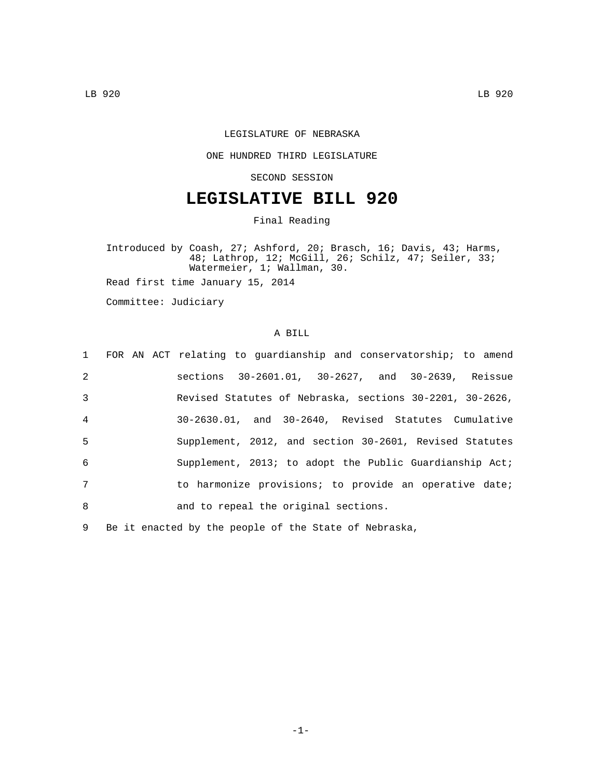## LEGISLATURE OF NEBRASKA

## ONE HUNDRED THIRD LEGISLATURE

SECOND SESSION

## **LEGISLATIVE BILL 920**

Final Reading

Introduced by Coash, 27; Ashford, 20; Brasch, 16; Davis, 43; Harms, 48; Lathrop, 12; McGill, 26; Schilz, 47; Seiler, 33; Watermeier, 1; Wallman, 30.

Read first time January 15, 2014

Committee: Judiciary

## A BILL

|                |  | 1 FOR AN ACT relating to guardianship and conservatorship; to amend |
|----------------|--|---------------------------------------------------------------------|
| 2              |  | sections 30-2601.01, 30-2627, and 30-2639, Reissue                  |
| 3              |  | Revised Statutes of Nebraska, sections 30-2201, 30-2626,            |
| $\overline{4}$ |  | 30-2630.01, and 30-2640, Revised Statutes Cumulative                |
| 5              |  | Supplement, 2012, and section 30-2601, Revised Statutes             |
| 6              |  | Supplement, 2013; to adopt the Public Guardianship Act;             |
| 7              |  | to harmonize provisions; to provide an operative date;              |
| 8              |  | and to repeal the original sections.                                |
|                |  |                                                                     |

9 Be it enacted by the people of the State of Nebraska,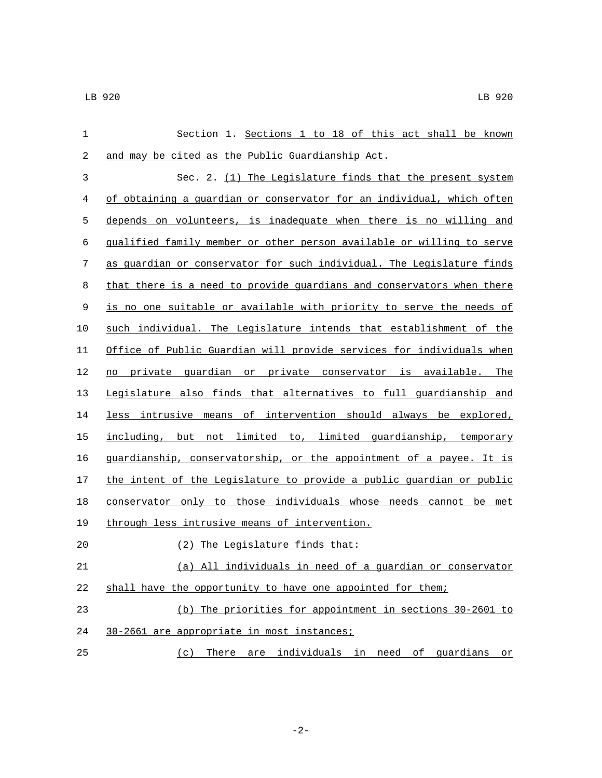| 1           | Section 1. Sections 1 to 18 of this act shall be known                |
|-------------|-----------------------------------------------------------------------|
| 2           | and may be cited as the Public Guardianship Act.                      |
| 3           | Sec. 2. (1) The Legislature finds that the present system             |
| 4           | of obtaining a quardian or conservator for an individual, which often |
| 5           | depends on volunteers, is inadequate when there is no willing and     |
| 6           | qualified family member or other person available or willing to serve |
| 7           | as quardian or conservator for such individual. The Legislature finds |
| 8           | that there is a need to provide guardians and conservators when there |
| $\mathsf 9$ | is no one suitable or available with priority to serve the needs of   |
| 10          | such individual. The Legislature intends that establishment of the    |
| 11          | Office of Public Guardian will provide services for individuals when  |
| 12          | no private guardian or private conservator is available. The          |
| 13          | Legislature also finds that alternatives to full guardianship and     |
| 14          | less intrusive means of intervention should always be explored,       |
| 15          | including, but not limited to, limited guardianship, temporary        |
| 16          | guardianship, conservatorship, or the appointment of a payee. It is   |
| 17          | the intent of the Legislature to provide a public guardian or public  |
| 18          | conservator only to those individuals whose needs cannot be met       |
| 19          | through less intrusive means of intervention.                         |
| 20          | (2) The Legislature finds that:                                       |
| 21          | (a) All individuals in need of a guardian or conservator              |
| 22          | shall have the opportunity to have one appointed for them;            |
| 23          | (b) The priorities for appointment in sections 30-2601 to             |
| 24          | 30-2661 are appropriate in most instances;                            |
| 25          | individuals in need of quardians<br>There<br>(c)<br>are<br>or         |

-2-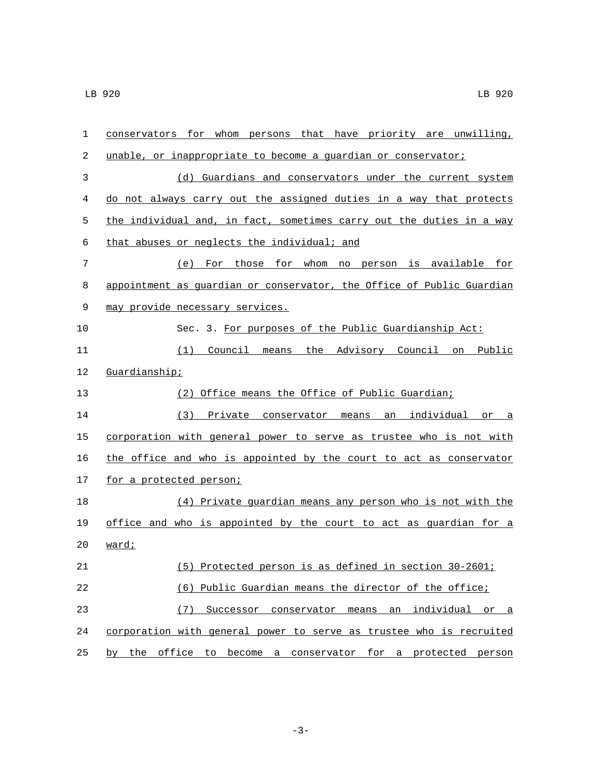| 1  | conservators for whom persons that have priority are unwilling,       |
|----|-----------------------------------------------------------------------|
| 2  | unable, or inappropriate to become a guardian or conservator;         |
| 3  | (d) Guardians and conservators under the current system               |
| 4  | do not always carry out the assigned duties in a way that protects    |
| 5  | the individual and, in fact, sometimes carry out the duties in a way  |
| 6  | that abuses or neglects the individual; and                           |
| 7  | (e) For those for whom no person is available for                     |
| 8  | appointment as guardian or conservator, the Office of Public Guardian |
| 9  | may provide necessary services.                                       |
| 10 | Sec. 3. For purposes of the Public Guardianship Act:                  |
| 11 | the Advisory Council on<br>Public<br>(1)<br>Council<br>means          |
| 12 | Guardianship;                                                         |
| 13 | (2) Office means the Office of Public Guardian;                       |
| 14 | an individual<br>(3)<br>Private conservator means<br>or a             |
| 15 | corporation with general power to serve as trustee who is not with    |
| 16 | the office and who is appointed by the court to act as conservator    |
| 17 | for a protected person;                                               |
| 18 | (4) Private guardian means any person who is not with the             |
| 19 | office and who is appointed by the court to act as guardian for a     |
| 20 | ward;                                                                 |
| 21 | (5) Protected person is as defined in section 30-2601;                |
| 22 | (6) Public Guardian means the director of the office;                 |
| 23 | (7)<br>Successor conservator means<br>an<br>individual or a           |
| 24 | corporation with general power to serve as trustee who is recruited   |
| 25 | by the office to become a conservator for a protected person          |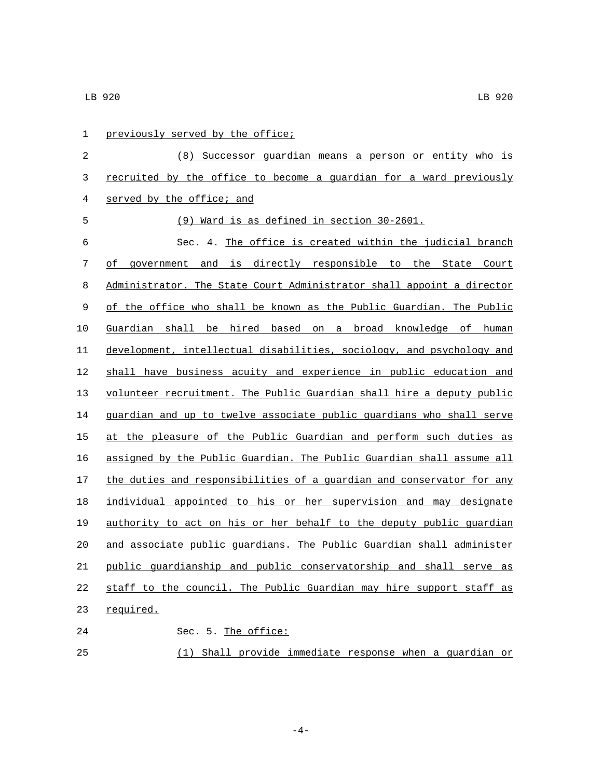| 1           | previously served by the office;                                      |
|-------------|-----------------------------------------------------------------------|
| 2           | (8) Successor guardian means a person or entity who is                |
| 3           | recruited by the office to become a quardian for a ward previously    |
| 4           | served by the office; and                                             |
| 5           | (9) Ward is as defined in section 30-2601.                            |
| 6           | Sec. 4. The office is created within the judicial branch              |
| 7           | of government and is directly responsible to the State Court          |
| 8           | Administrator. The State Court Administrator shall appoint a director |
| $\mathsf 9$ | of the office who shall be known as the Public Guardian. The Public   |
| 10          | Guardian shall be hired based on a broad knowledge of human           |
| 11          | development, intellectual disabilities, sociology, and psychology and |
| 12          | shall have business acuity and experience in public education and     |
| 13          | volunteer recruitment. The Public Guardian shall hire a deputy public |
| 14          | guardian and up to twelve associate public guardians who shall serve  |
| 15          | at the pleasure of the Public Guardian and perform such duties as     |
| 16          | assigned by the Public Guardian. The Public Guardian shall assume all |
| 17          | the duties and responsibilities of a guardian and conservator for any |
| 18          | individual appointed to his or her supervision and may designate      |
| 19          | authority to act on his or her behalf to the deputy public quardian   |
| 20          | and associate public guardians. The Public Guardian shall administer  |
| 21          | public quardianship and public conservatorship and shall serve as     |
| 22          | staff to the council. The Public Guardian may hire support staff as   |
| 23          | required.                                                             |
| 24          | Sec. 5. The office:                                                   |
| 25          | Shall provide immediate response when a guardian or<br>(1)            |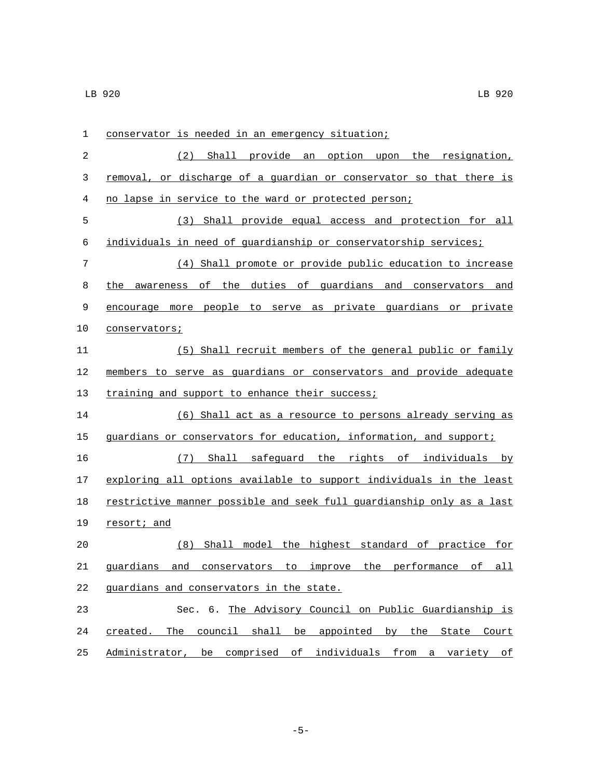| $\mathbf 1$ | conservator is needed in an emergency situation;                                      |
|-------------|---------------------------------------------------------------------------------------|
| 2           | Shall provide<br>option upon<br>the resignation,<br>(2)<br>an                         |
| 3           | removal, or discharge of a guardian or conservator so that there is                   |
| 4           | no lapse in service to the ward or protected person;                                  |
| 5           | (3)<br>Shall provide equal access and protection for all                              |
| 6           | individuals in need of guardianship or conservatorship services;                      |
| 7           | (4) Shall promote or provide public education to increase                             |
| 8           | awareness of the duties of guardians and conservators<br>the<br>and                   |
| 9           | encourage more people to serve as private guardians or private                        |
| 10          | conservators;                                                                         |
| 11          | (5) Shall recruit members of the general public or family                             |
| 12          | members to serve as guardians or conservators and provide adequate                    |
| 13          | training and support to enhance their success;                                        |
| 14          | (6) Shall act as a resource to persons already serving as                             |
| 15          | guardians or conservators for education, information, and support;                    |
| 16          | (7) Shall safequard the rights of individuals by                                      |
| 17          | exploring all options available to support individuals in the least                   |
| 18          | restrictive manner possible and seek full quardianship only as a last                 |
| 19          | resort; and                                                                           |
| 20          | Shall model the highest standard of practice for<br>(8)                               |
| 21          | quardians<br><u>and</u><br>improve<br>the performance of<br>conservators<br>to<br>all |
| 22          | quardians and conservators in the state.                                              |
| 23          | Sec. 6. The Advisory Council on Public Guardianship is                                |
| 24          | created. The council shall be appointed by the State Court                            |
| 25          | Administrator, be comprised of individuals from a variety of                          |

-5-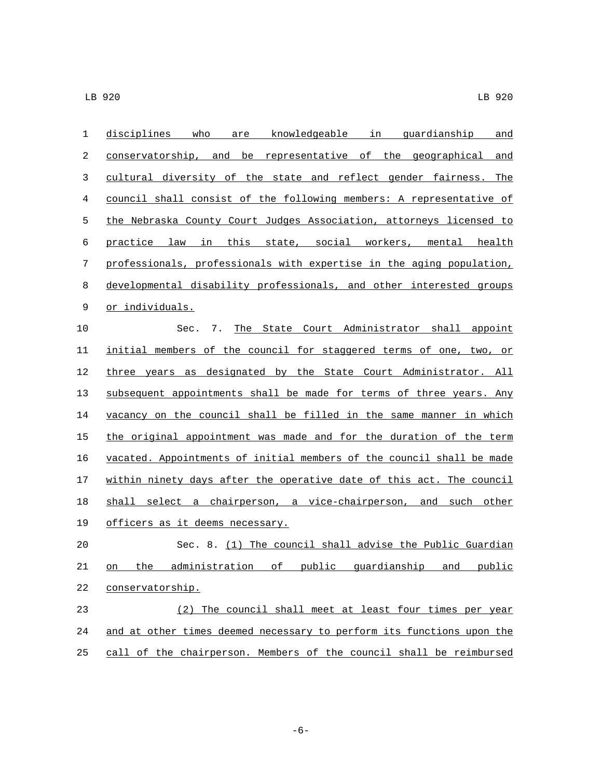| $\mathbf 1$ | disciplines who are knowledgeable in quardianship<br>and              |
|-------------|-----------------------------------------------------------------------|
| 2           | conservatorship, and be representative of the geographical<br>and     |
| 3           | cultural diversity of the state and reflect gender fairness. The      |
| 4           | council shall consist of the following members: A representative of   |
| 5           | the Nebraska County Court Judges Association, attorneys licensed to   |
| 6           | practice law in this state, social workers, mental health             |
| 7           | professionals, professionals with expertise in the aging population,  |
| $\,8\,$     | developmental disability professionals, and other interested groups   |
| 9           | or individuals.                                                       |
| 10          | The State Court Administrator shall appoint<br>Sec. 7.                |
| 11          | initial members of the council for staggered terms of one, two, or    |
| 12          | three years as designated by the State Court Administrator. All       |
| 13          | subsequent appointments shall be made for terms of three years. Any   |
| 14          | vacancy on the council shall be filled in the same manner in which    |
| 15          | the original appointment was made and for the duration of the term    |
| 16          | vacated. Appointments of initial members of the council shall be made |
| 17          | within ninety days after the operative date of this act. The council  |
| 18          | shall select a chairperson, a vice-chairperson, and such other        |
| 19          | <u>officers as it deems necessary.</u>                                |
| 20          | Sec. 8. (1) The council shall advise the Public Guardian              |
| 21          | on the administration of public quardianship and public               |
| 22          | conservatorship.                                                      |
| 23          | (2) The council shall meet at least four times per year               |
| 24          | and at other times deemed necessary to perform its functions upon the |
| 25          | call of the chairperson. Members of the council shall be reimbursed   |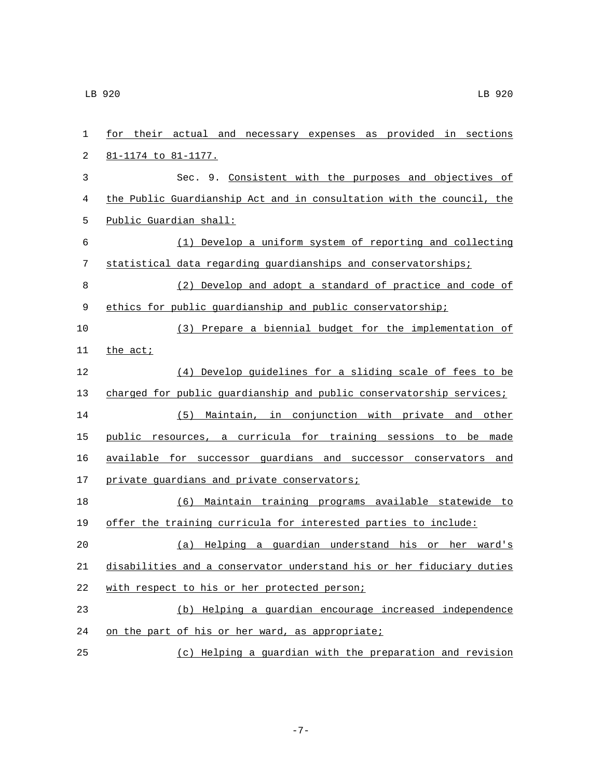| $\mathbf 1$      | for their actual and necessary expenses as provided in sections       |
|------------------|-----------------------------------------------------------------------|
| 2                | <u>81-1174 to 81-1177.</u>                                            |
| 3                | Sec. 9. Consistent with the purposes and objectives of                |
| 4                | the Public Guardianship Act and in consultation with the council, the |
| 5                | Public Guardian shall:                                                |
| 6                | (1) Develop a uniform system of reporting and collecting              |
| $\boldsymbol{7}$ | statistical data regarding quardianships and conservatorships;        |
| 8                | (2) Develop and adopt a standard of practice and code of              |
| 9                | ethics for public quardianship and public conservatorship;            |
| 10               | (3) Prepare a biennial budget for the implementation of               |
| 11               | the act;                                                              |
| 12               | (4) Develop guidelines for a sliding scale of fees to be              |
| 13               | charged for public quardianship and public conservatorship services;  |
| 14               | Maintain, in conjunction with private and other<br>(5)                |
| 15               | public resources, a curricula for training sessions to be made        |
| 16               | available for successor quardians and successor conservators and      |
| 17               | private guardians and private conservators;                           |
| 18               | (6) Maintain training programs available statewide to                 |
| 19               | offer the training curricula for interested parties to include:       |
| 20               | Helping a guardian understand his or her ward's<br>(a)                |
| 21               | disabilities and a conservator understand his or her fiduciary duties |
| 22               | with respect to his or her protected person;                          |
| 23               | (b) Helping a guardian encourage increased independence               |
| 24               | on the part of his or her ward, as appropriate;                       |
| 25               | (c) Helping a guardian with the preparation and revision              |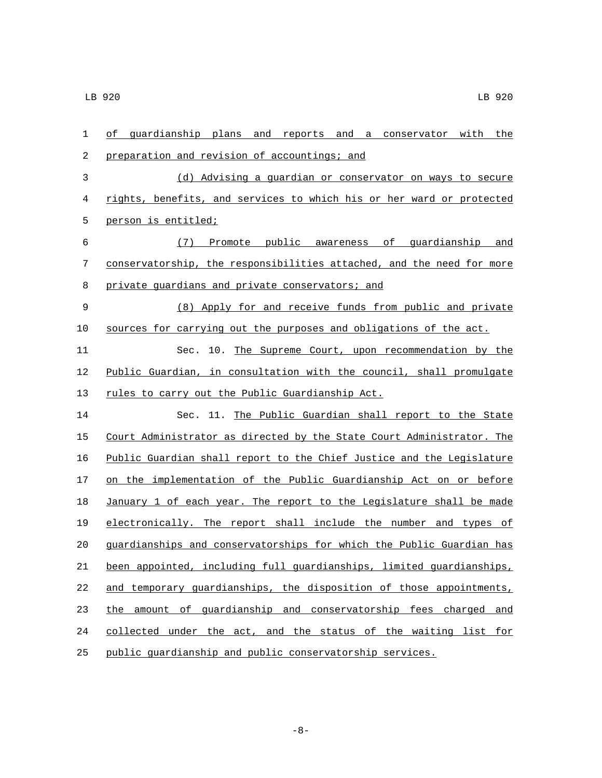| $\mathbf{1}$ | of quardianship plans and reports and a conservator with the          |
|--------------|-----------------------------------------------------------------------|
| 2            | preparation and revision of accountings; and                          |
| 3            | (d) Advising a guardian or conservator on ways to secure              |
| 4            | rights, benefits, and services to which his or her ward or protected  |
| 5            | person is entitled;                                                   |
| 6            | (7) Promote public awareness of guardianship and                      |
| 7            | conservatorship, the responsibilities attached, and the need for more |
| 8            | private guardians and private conservators; and                       |
| $\mathsf 9$  | (8) Apply for and receive funds from public and private               |
| 10           | sources for carrying out the purposes and obligations of the act.     |
| 11           | Sec. 10. The Supreme Court, upon recommendation by the                |
| 12           | Public Guardian, in consultation with the council, shall promulgate   |
| 13           | rules to carry out the Public Guardianship Act.                       |
| 14           | Sec. 11. The Public Guardian shall report to the State                |
| 15           | Court Administrator as directed by the State Court Administrator. The |
| 16           | Public Guardian shall report to the Chief Justice and the Legislature |
| 17           | on the implementation of the Public Guardianship Act on or before     |
| 18           | January 1 of each year. The report to the Legislature shall be made   |
| 19           | electronically. The report shall include the number and types of      |
| 20           | guardianships and conservatorships for which the Public Guardian has  |
| 21           | been appointed, including full guardianships, limited guardianships,  |
| 22           | and temporary quardianships, the disposition of those appointments,   |
| 23           | the amount of guardianship and conservatorship fees charged and       |
| 24           | collected under the act, and the status of the waiting list for       |
| 25           | public quardianship and public conservatorship services.              |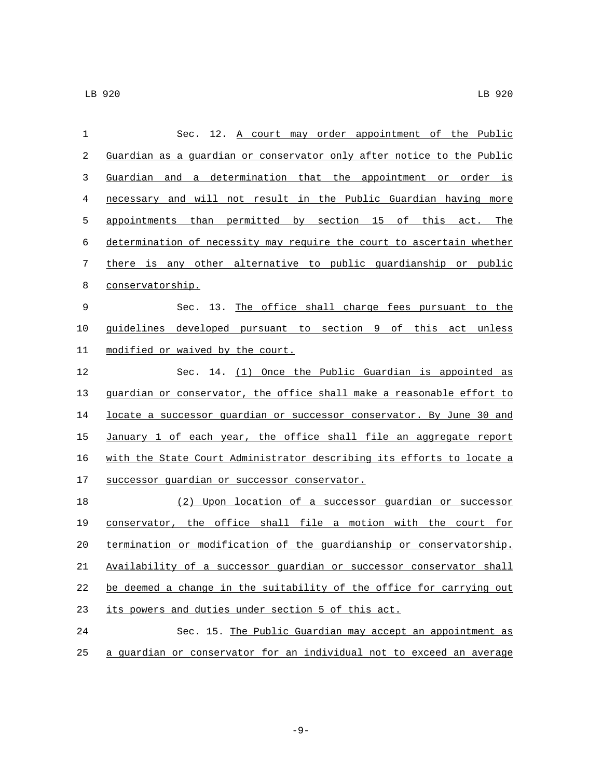| 1  | Sec. 12. A court may order appointment of the Public                  |
|----|-----------------------------------------------------------------------|
| 2  | Guardian as a guardian or conservator only after notice to the Public |
| 3  | Guardian and a determination that the appointment or order is         |
| 4  | necessary and will not result in the Public Guardian having more      |
| 5  | appointments than permitted by section 15 of this act. The            |
| 6  | determination of necessity may require the court to ascertain whether |
| 7  | there is any other alternative to public quardianship or public       |
| 8  | conservatorship.                                                      |
| 9  | Sec. 13. The office shall charge fees pursuant to the                 |
| 10 | guidelines developed pursuant to section 9 of this act unless         |
| 11 | modified or waived by the court.                                      |
| 12 | Sec. 14. (1) Once the Public Guardian is appointed as                 |
| 13 | guardian or conservator, the office shall make a reasonable effort to |
| 14 | locate a successor quardian or successor conservator. By June 30 and  |
| 15 | January 1 of each year, the office shall file an aggregate report     |
| 16 | with the State Court Administrator describing its efforts to locate a |
| 17 | successor guardian or successor conservator.                          |
| 18 | (2) Upon location of a successor quardian or successor                |
| 19 | conservator, the office shall file a motion with the court for        |
| 20 | termination or modification of the guardianship or conservatorship.   |
| 21 | Availability of a successor quardian or successor conservator shall   |
| 22 | be deemed a change in the suitability of the office for carrying out  |
| 23 | its powers and duties under section 5 of this act.                    |
| 24 | Sec. 15. The Public Guardian may accept an appointment as             |
| 25 | a quardian or conservator for an individual not to exceed an average  |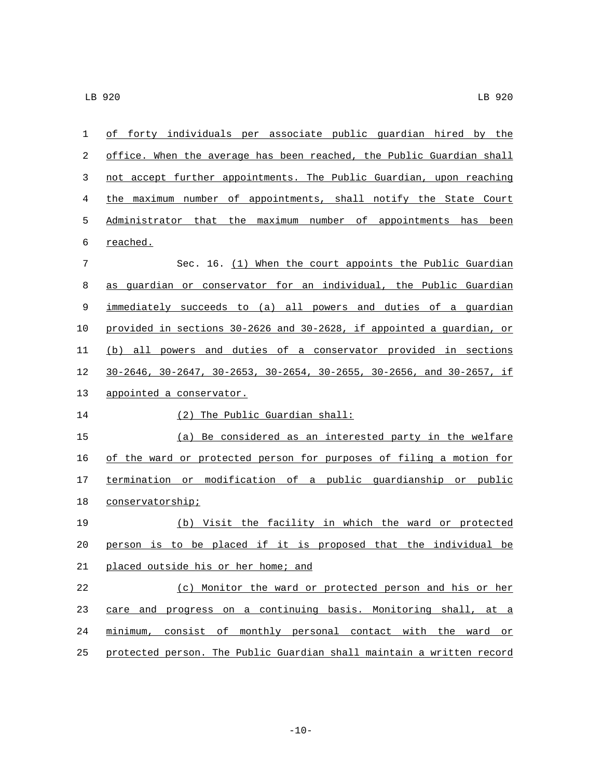| $\mathbf 1$ | of forty individuals per associate public quardian hired by the                            |
|-------------|--------------------------------------------------------------------------------------------|
| 2           | office. When the average has been reached, the Public Guardian shall                       |
| 3           | not accept further appointments. The Public Guardian, upon reaching                        |
| 4           | the maximum number of appointments, shall notify the State Court                           |
| 5           | Administrator that the maximum number of appointments has been                             |
| 6           | <u>reached.</u>                                                                            |
| 7           | Sec. 16. (1) When the court appoints the Public Guardian                                   |
| 8           | as guardian or conservator for an individual, the Public Guardian                          |
| 9           | immediately succeeds to (a) all powers and duties of a guardian                            |
| 10          | provided in sections 30-2626 and 30-2628, if appointed a quardian, or                      |
| 11          | (b) all powers and duties of a conservator provided in sections                            |
| 12          | $30-2646$ , $30-2647$ , $30-2653$ , $30-2654$ , $30-2655$ , $30-2656$ , and $30-2657$ , if |
| 13          | appointed a conservator.                                                                   |
| 14          | (2) The Public Guardian shall:                                                             |
| 15          | (a) Be considered as an interested party in the welfare                                    |
| 16          | of the ward or protected person for purposes of filing a motion for                        |
| 17          | termination or modification of a public guardianship or public                             |
| 18          | conservatorship;                                                                           |
| 19          | (b) Visit the facility in which the ward or protected                                      |
| 20          | person is to be placed if it is proposed that the individual be                            |
| 21          | placed outside his or her home; and                                                        |
| 22          | (c) Monitor the ward or protected person and his or her                                    |
| 23          | care and progress on a continuing basis. Monitoring shall, at a                            |
| 24          | minimum, consist of monthly personal contact with the ward or                              |
| 25          | protected person. The Public Guardian shall maintain a written record                      |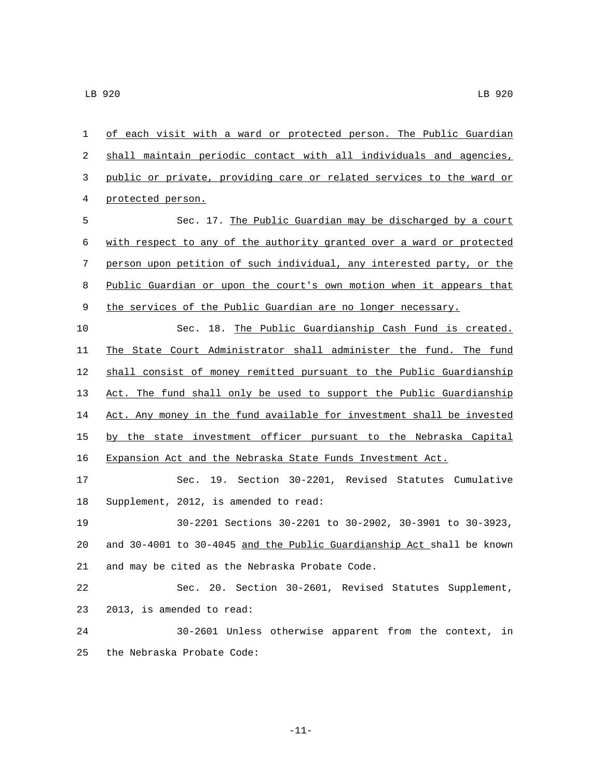| $\mathbf{1}$ | of each visit with a ward or protected person. The Public Guardian    |
|--------------|-----------------------------------------------------------------------|
| 2            | shall maintain periodic contact with all individuals and agencies,    |
| 3            | public or private, providing care or related services to the ward or  |
| 4            | protected person.                                                     |
| 5            | Sec. 17. The Public Guardian may be discharged by a court             |
| 6            | with respect to any of the authority granted over a ward or protected |
| 7            | person upon petition of such individual, any interested party, or the |
| 8            | Public Guardian or upon the court's own motion when it appears that   |
| 9            | the services of the Public Guardian are no longer necessary.          |
| 10           | Sec. 18. The Public Guardianship Cash Fund is created.                |
| 11           | The State Court Administrator shall administer the fund. The fund     |
| 12           | shall consist of money remitted pursuant to the Public Guardianship   |
| 13           | Act. The fund shall only be used to support the Public Guardianship   |
| 14           | Act. Any money in the fund available for investment shall be invested |
| 15           | by the state investment officer pursuant to the Nebraska Capital      |
| 16           | Expansion Act and the Nebraska State Funds Investment Act.            |
| 17           | Sec. 19. Section 30-2201, Revised Statutes Cumulative                 |
| 18           | Supplement, 2012, is amended to read:                                 |
| 19           | 30-2201 Sections 30-2201 to 30-2902, 30-3901 to 30-3923,              |
| 20           | and 30-4001 to 30-4045 and the Public Guardianship Act shall be known |
| 21           | and may be cited as the Nebraska Probate Code.                        |
| 22           | Sec. 20. Section 30-2601, Revised Statutes Supplement,                |
| 23           | 2013, is amended to read:                                             |
| 24           | 30-2601 Unless otherwise apparent from the context, in                |
| 25           | the Nebraska Probate Code:                                            |

-11-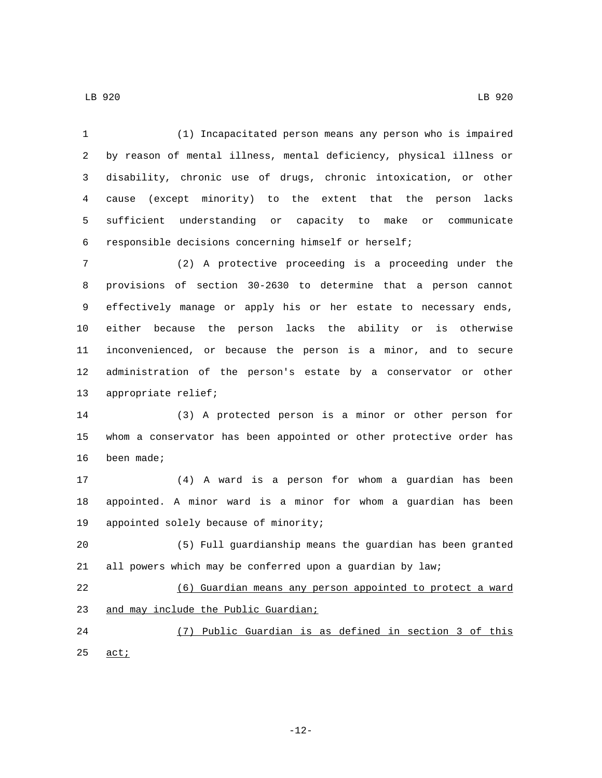(1) Incapacitated person means any person who is impaired by reason of mental illness, mental deficiency, physical illness or disability, chronic use of drugs, chronic intoxication, or other cause (except minority) to the extent that the person lacks sufficient understanding or capacity to make or communicate responsible decisions concerning himself or herself;

 (2) A protective proceeding is a proceeding under the provisions of section 30-2630 to determine that a person cannot effectively manage or apply his or her estate to necessary ends, either because the person lacks the ability or is otherwise inconvenienced, or because the person is a minor, and to secure administration of the person's estate by a conservator or other 13 appropriate relief;

 (3) A protected person is a minor or other person for whom a conservator has been appointed or other protective order has 16 been made;

 (4) A ward is a person for whom a guardian has been appointed. A minor ward is a minor for whom a guardian has been 19 appointed solely because of minority;

 (5) Full guardianship means the guardian has been granted all powers which may be conferred upon a guardian by law;

 (6) Guardian means any person appointed to protect a ward 23 and may include the Public Guardian;

 (7) Public Guardian is as defined in section 3 of this  $\arct{1}$ 

-12-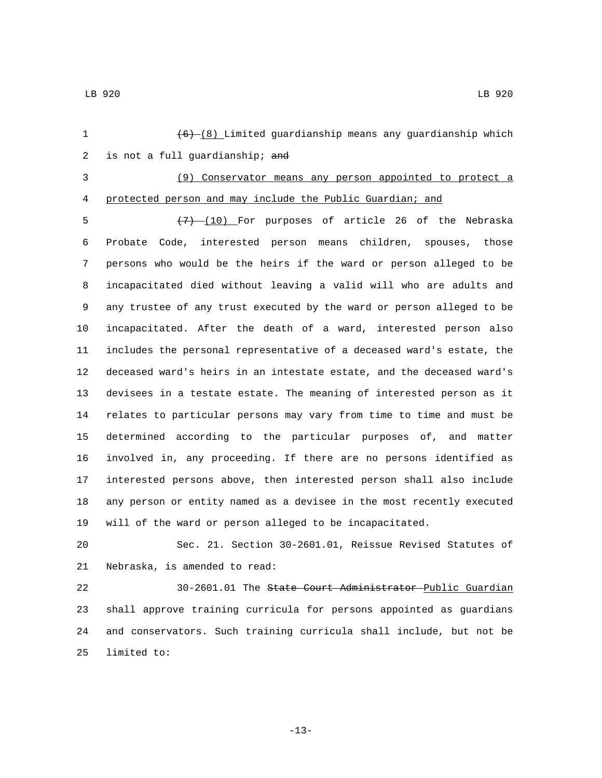1  $(6)-(8)$  Limited guardianship means any guardianship which 2 is not a full guardianship;  $and$ 

(9) Conservator means any person appointed to protect a

protected person and may include the Public Guardian; and

 $\left(7\right)$   $\left(10\right)$  For purposes of article 26 of the Nebraska Probate Code, interested person means children, spouses, those persons who would be the heirs if the ward or person alleged to be incapacitated died without leaving a valid will who are adults and any trustee of any trust executed by the ward or person alleged to be incapacitated. After the death of a ward, interested person also includes the personal representative of a deceased ward's estate, the deceased ward's heirs in an intestate estate, and the deceased ward's devisees in a testate estate. The meaning of interested person as it relates to particular persons may vary from time to time and must be determined according to the particular purposes of, and matter involved in, any proceeding. If there are no persons identified as interested persons above, then interested person shall also include any person or entity named as a devisee in the most recently executed will of the ward or person alleged to be incapacitated.

 Sec. 21. Section 30-2601.01, Reissue Revised Statutes of 21 Nebraska, is amended to read:

 30-2601.01 The State Court Administrator Public Guardian shall approve training curricula for persons appointed as guardians and conservators. Such training curricula shall include, but not be 25 limited to: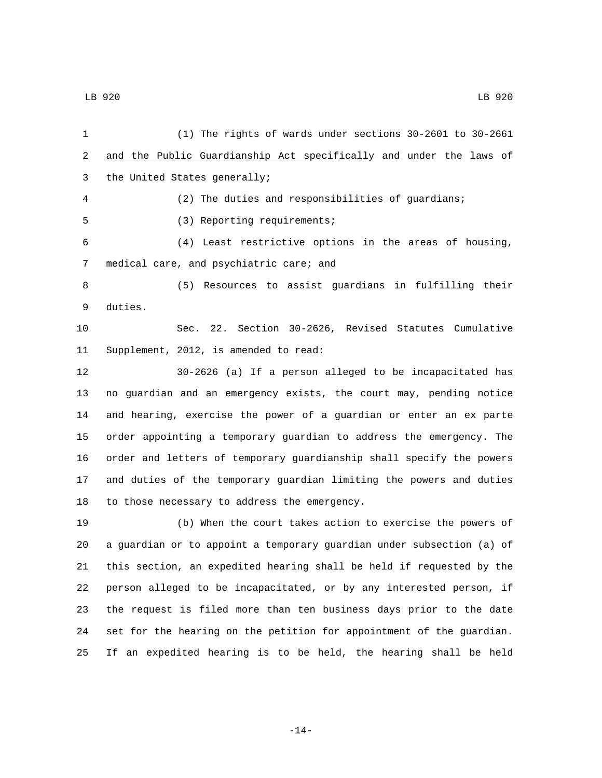(1) The rights of wards under sections 30-2601 to 30-2661 2 and the Public Guardianship Act specifically and under the laws of 3 the United States generally; (2) The duties and responsibilities of guardians; 5 (3) Reporting requirements; (4) Least restrictive options in the areas of housing, 7 medical care, and psychiatric care; and (5) Resources to assist guardians in fulfilling their 9 duties. Sec. 22. Section 30-2626, Revised Statutes Cumulative 11 Supplement, 2012, is amended to read: 30-2626 (a) If a person alleged to be incapacitated has no guardian and an emergency exists, the court may, pending notice and hearing, exercise the power of a guardian or enter an ex parte order appointing a temporary guardian to address the emergency. The order and letters of temporary guardianship shall specify the powers and duties of the temporary guardian limiting the powers and duties 18 to those necessary to address the emergency. (b) When the court takes action to exercise the powers of a guardian or to appoint a temporary guardian under subsection (a) of this section, an expedited hearing shall be held if requested by the person alleged to be incapacitated, or by any interested person, if the request is filed more than ten business days prior to the date set for the hearing on the petition for appointment of the guardian. If an expedited hearing is to be held, the hearing shall be held

-14-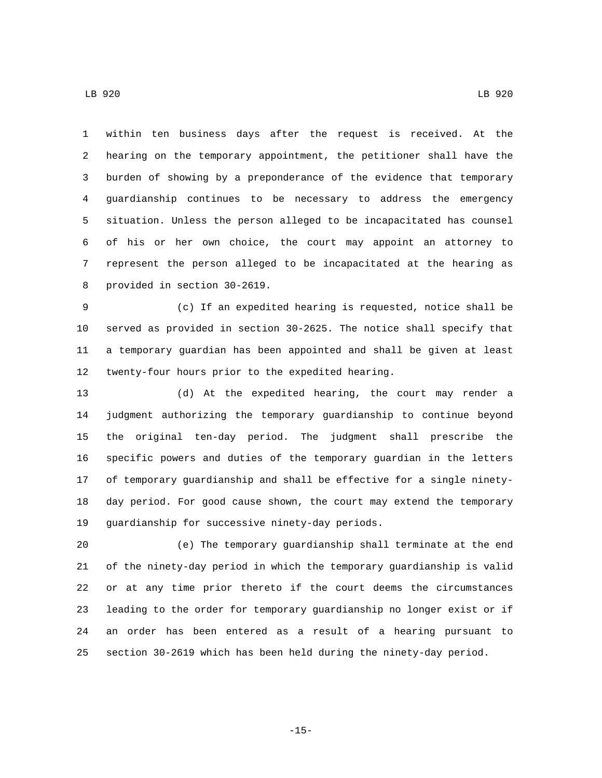within ten business days after the request is received. At the hearing on the temporary appointment, the petitioner shall have the burden of showing by a preponderance of the evidence that temporary guardianship continues to be necessary to address the emergency situation. Unless the person alleged to be incapacitated has counsel of his or her own choice, the court may appoint an attorney to represent the person alleged to be incapacitated at the hearing as 8 provided in section 30-2619.

 (c) If an expedited hearing is requested, notice shall be served as provided in section 30-2625. The notice shall specify that a temporary guardian has been appointed and shall be given at least 12 twenty-four hours prior to the expedited hearing.

 (d) At the expedited hearing, the court may render a judgment authorizing the temporary guardianship to continue beyond the original ten-day period. The judgment shall prescribe the specific powers and duties of the temporary guardian in the letters of temporary guardianship and shall be effective for a single ninety- day period. For good cause shown, the court may extend the temporary 19 guardianship for successive ninety-day periods.

 (e) The temporary guardianship shall terminate at the end of the ninety-day period in which the temporary guardianship is valid or at any time prior thereto if the court deems the circumstances leading to the order for temporary guardianship no longer exist or if an order has been entered as a result of a hearing pursuant to section 30-2619 which has been held during the ninety-day period.

-15-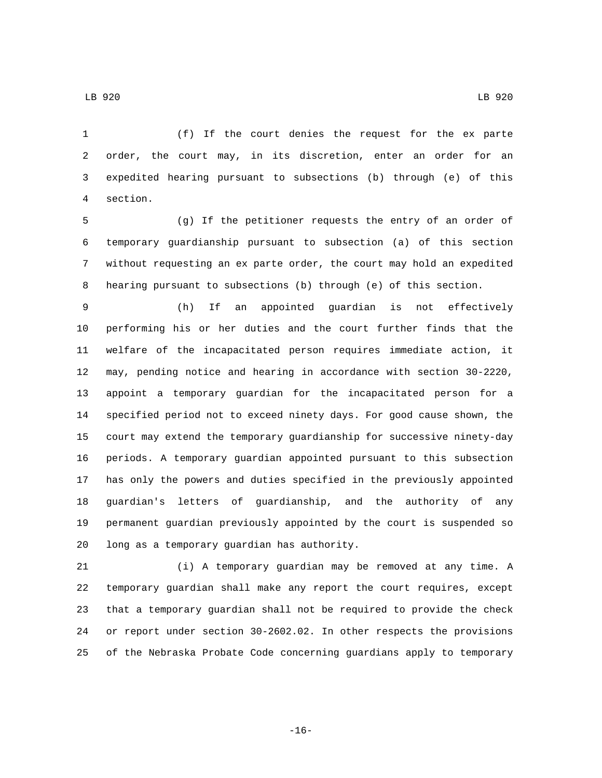(f) If the court denies the request for the ex parte order, the court may, in its discretion, enter an order for an expedited hearing pursuant to subsections (b) through (e) of this section.4

 (g) If the petitioner requests the entry of an order of temporary guardianship pursuant to subsection (a) of this section without requesting an ex parte order, the court may hold an expedited hearing pursuant to subsections (b) through (e) of this section.

 (h) If an appointed guardian is not effectively performing his or her duties and the court further finds that the welfare of the incapacitated person requires immediate action, it may, pending notice and hearing in accordance with section 30-2220, appoint a temporary guardian for the incapacitated person for a specified period not to exceed ninety days. For good cause shown, the court may extend the temporary guardianship for successive ninety-day periods. A temporary guardian appointed pursuant to this subsection has only the powers and duties specified in the previously appointed guardian's letters of guardianship, and the authority of any permanent guardian previously appointed by the court is suspended so 20 long as a temporary guardian has authority.

 (i) A temporary guardian may be removed at any time. A temporary guardian shall make any report the court requires, except that a temporary guardian shall not be required to provide the check or report under section 30-2602.02. In other respects the provisions of the Nebraska Probate Code concerning guardians apply to temporary

-16-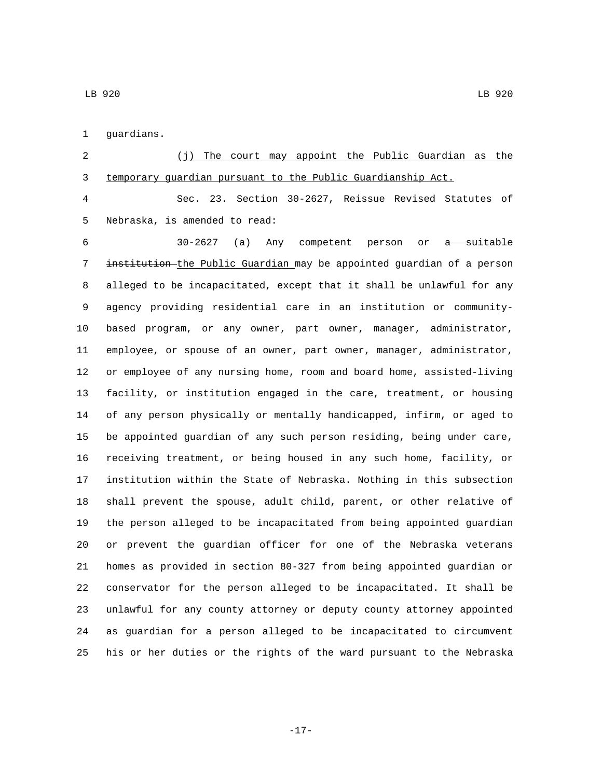1 guardians.

 (j) The court may appoint the Public Guardian as the temporary guardian pursuant to the Public Guardianship Act.

 Sec. 23. Section 30-2627, Reissue Revised Statutes of 5 Nebraska, is amended to read:

 30-2627 (a) Any competent person or a suitable 7 institution-the Public Guardian may be appointed guardian of a person alleged to be incapacitated, except that it shall be unlawful for any agency providing residential care in an institution or community- based program, or any owner, part owner, manager, administrator, employee, or spouse of an owner, part owner, manager, administrator, or employee of any nursing home, room and board home, assisted-living facility, or institution engaged in the care, treatment, or housing of any person physically or mentally handicapped, infirm, or aged to be appointed guardian of any such person residing, being under care, receiving treatment, or being housed in any such home, facility, or institution within the State of Nebraska. Nothing in this subsection shall prevent the spouse, adult child, parent, or other relative of the person alleged to be incapacitated from being appointed guardian or prevent the guardian officer for one of the Nebraska veterans homes as provided in section 80-327 from being appointed guardian or conservator for the person alleged to be incapacitated. It shall be unlawful for any county attorney or deputy county attorney appointed as guardian for a person alleged to be incapacitated to circumvent his or her duties or the rights of the ward pursuant to the Nebraska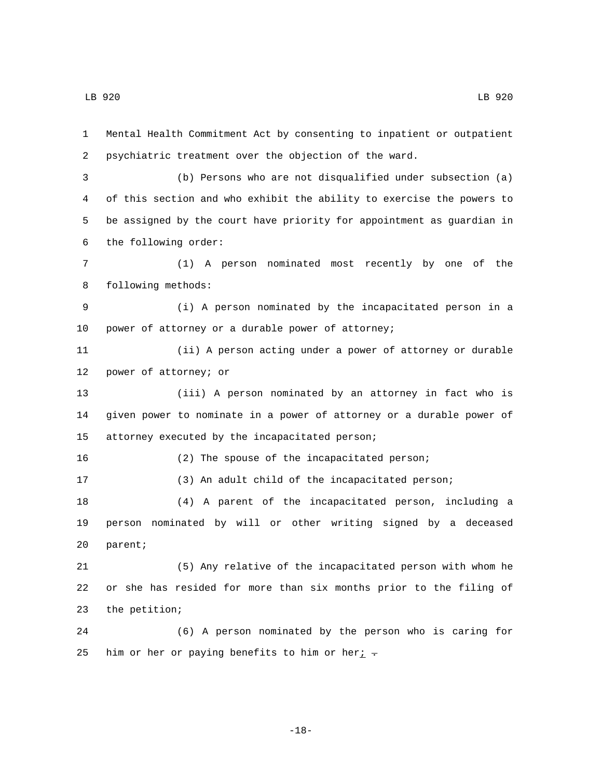Mental Health Commitment Act by consenting to inpatient or outpatient psychiatric treatment over the objection of the ward. (b) Persons who are not disqualified under subsection (a) of this section and who exhibit the ability to exercise the powers to be assigned by the court have priority for appointment as guardian in the following order:6 (1) A person nominated most recently by one of the 8 following methods: (i) A person nominated by the incapacitated person in a 10 power of attorney or a durable power of attorney; (ii) A person acting under a power of attorney or durable 12 power of attorney; or (iii) A person nominated by an attorney in fact who is given power to nominate in a power of attorney or a durable power of 15 attorney executed by the incapacitated person; (2) The spouse of the incapacitated person; (3) An adult child of the incapacitated person; (4) A parent of the incapacitated person, including a person nominated by will or other writing signed by a deceased 20 parent; (5) Any relative of the incapacitated person with whom he or she has resided for more than six months prior to the filing of 23 the petition; (6) A person nominated by the person who is caring for 25 him or her or paying benefits to him or her $i$ .

-18-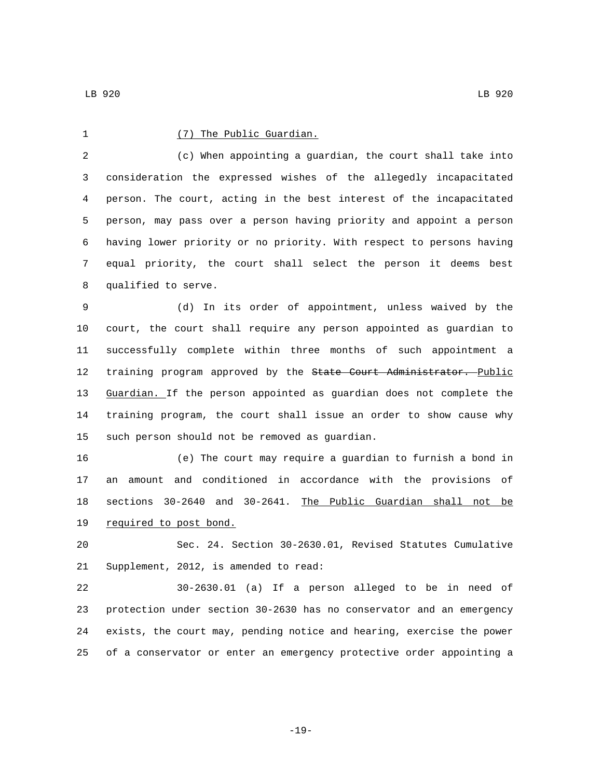1 (7) The Public Guardian.

 (c) When appointing a guardian, the court shall take into consideration the expressed wishes of the allegedly incapacitated person. The court, acting in the best interest of the incapacitated person, may pass over a person having priority and appoint a person having lower priority or no priority. With respect to persons having equal priority, the court shall select the person it deems best 8 qualified to serve.

 (d) In its order of appointment, unless waived by the court, the court shall require any person appointed as guardian to successfully complete within three months of such appointment a 12 training program approved by the State Court Administrator. Public Guardian. If the person appointed as guardian does not complete the training program, the court shall issue an order to show cause why 15 such person should not be removed as guardian.

 (e) The court may require a guardian to furnish a bond in an amount and conditioned in accordance with the provisions of sections 30-2640 and 30-2641. The Public Guardian shall not be 19 required to post bond.

 Sec. 24. Section 30-2630.01, Revised Statutes Cumulative 21 Supplement, 2012, is amended to read:

 30-2630.01 (a) If a person alleged to be in need of protection under section 30-2630 has no conservator and an emergency exists, the court may, pending notice and hearing, exercise the power of a conservator or enter an emergency protective order appointing a

-19-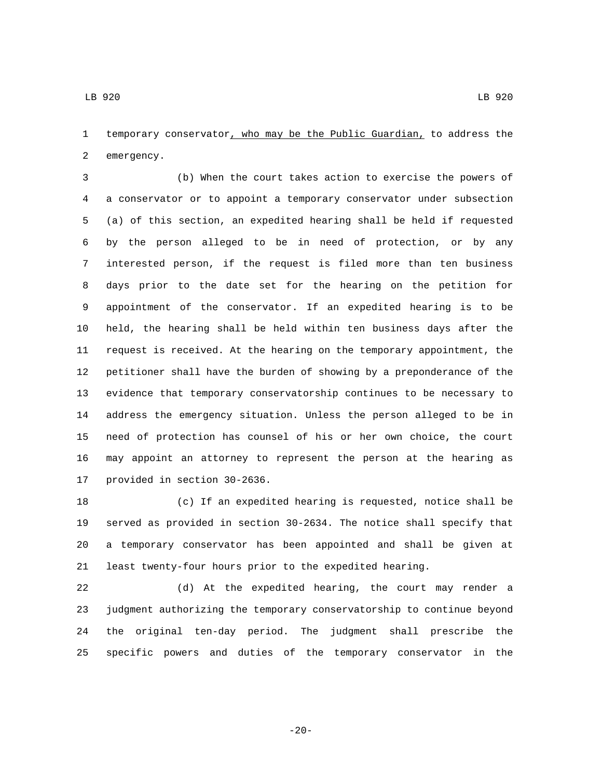temporary conservator, who may be the Public Guardian, to address the 2 emergency.

 (b) When the court takes action to exercise the powers of a conservator or to appoint a temporary conservator under subsection (a) of this section, an expedited hearing shall be held if requested by the person alleged to be in need of protection, or by any interested person, if the request is filed more than ten business days prior to the date set for the hearing on the petition for appointment of the conservator. If an expedited hearing is to be held, the hearing shall be held within ten business days after the request is received. At the hearing on the temporary appointment, the petitioner shall have the burden of showing by a preponderance of the evidence that temporary conservatorship continues to be necessary to address the emergency situation. Unless the person alleged to be in need of protection has counsel of his or her own choice, the court may appoint an attorney to represent the person at the hearing as 17 provided in section 30-2636.

 (c) If an expedited hearing is requested, notice shall be served as provided in section 30-2634. The notice shall specify that a temporary conservator has been appointed and shall be given at least twenty-four hours prior to the expedited hearing.

 (d) At the expedited hearing, the court may render a judgment authorizing the temporary conservatorship to continue beyond the original ten-day period. The judgment shall prescribe the specific powers and duties of the temporary conservator in the

-20-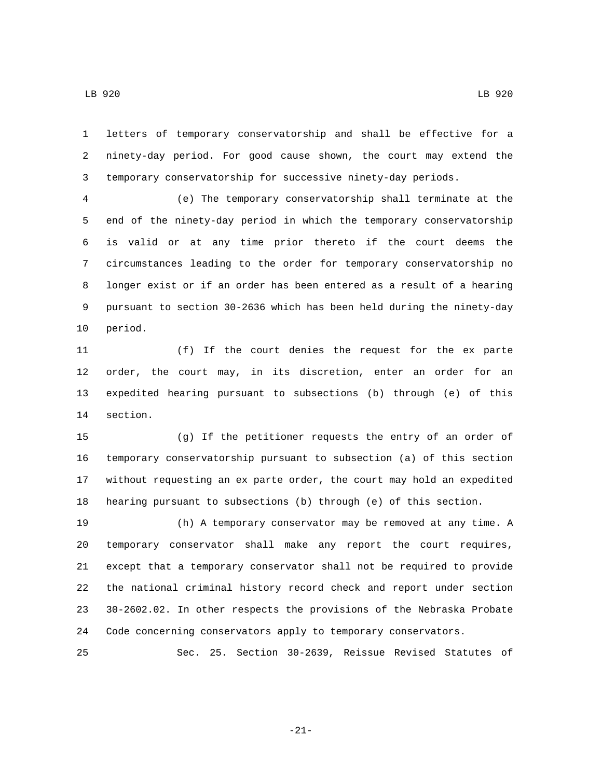letters of temporary conservatorship and shall be effective for a ninety-day period. For good cause shown, the court may extend the temporary conservatorship for successive ninety-day periods.

 (e) The temporary conservatorship shall terminate at the end of the ninety-day period in which the temporary conservatorship is valid or at any time prior thereto if the court deems the circumstances leading to the order for temporary conservatorship no longer exist or if an order has been entered as a result of a hearing pursuant to section 30-2636 which has been held during the ninety-day 10 period.

 (f) If the court denies the request for the ex parte order, the court may, in its discretion, enter an order for an expedited hearing pursuant to subsections (b) through (e) of this 14 section.

 (g) If the petitioner requests the entry of an order of temporary conservatorship pursuant to subsection (a) of this section without requesting an ex parte order, the court may hold an expedited hearing pursuant to subsections (b) through (e) of this section.

 (h) A temporary conservator may be removed at any time. A temporary conservator shall make any report the court requires, except that a temporary conservator shall not be required to provide the national criminal history record check and report under section 30-2602.02. In other respects the provisions of the Nebraska Probate Code concerning conservators apply to temporary conservators.

Sec. 25. Section 30-2639, Reissue Revised Statutes of

-21-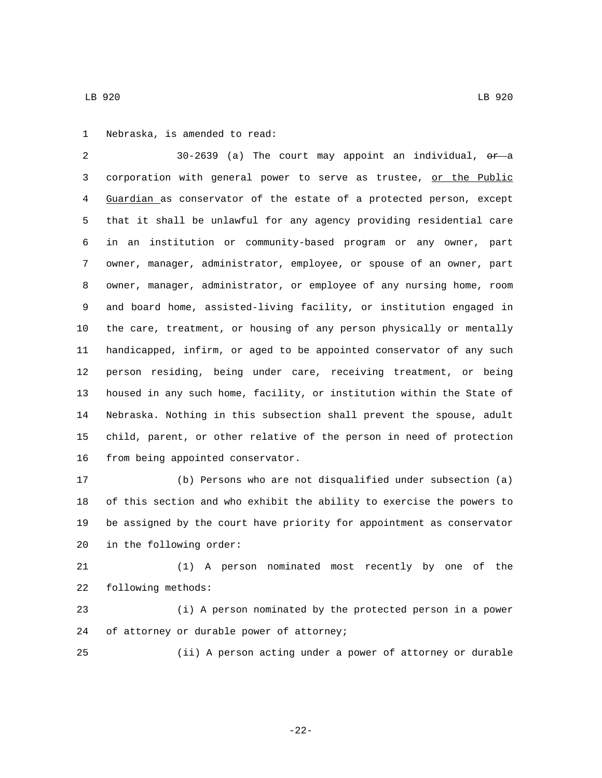1 Nebraska, is amended to read:

2 30-2639 (a) The court may appoint an individual, or a corporation with general power to serve as trustee, or the Public Guardian as conservator of the estate of a protected person, except that it shall be unlawful for any agency providing residential care in an institution or community-based program or any owner, part owner, manager, administrator, employee, or spouse of an owner, part owner, manager, administrator, or employee of any nursing home, room and board home, assisted-living facility, or institution engaged in the care, treatment, or housing of any person physically or mentally handicapped, infirm, or aged to be appointed conservator of any such person residing, being under care, receiving treatment, or being housed in any such home, facility, or institution within the State of Nebraska. Nothing in this subsection shall prevent the spouse, adult child, parent, or other relative of the person in need of protection 16 from being appointed conservator.

 (b) Persons who are not disqualified under subsection (a) of this section and who exhibit the ability to exercise the powers to be assigned by the court have priority for appointment as conservator 20 in the following order:

 (1) A person nominated most recently by one of the 22 following methods:

 (i) A person nominated by the protected person in a power 24 of attorney or durable power of attorney;

(ii) A person acting under a power of attorney or durable

-22-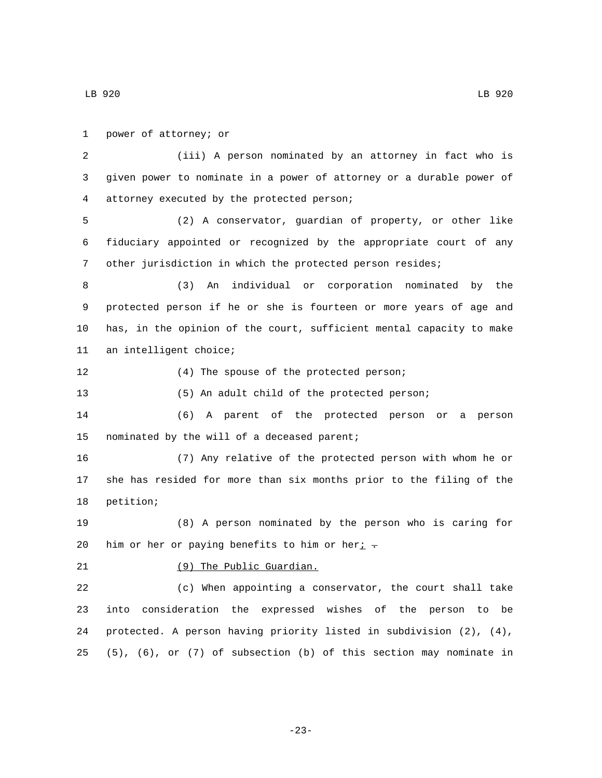LB 920 LB 920

1 power of attorney; or (iii) A person nominated by an attorney in fact who is given power to nominate in a power of attorney or a durable power of attorney executed by the protected person;4 (2) A conservator, guardian of property, or other like fiduciary appointed or recognized by the appropriate court of any other jurisdiction in which the protected person resides; (3) An individual or corporation nominated by the protected person if he or she is fourteen or more years of age and has, in the opinion of the court, sufficient mental capacity to make 11 an intelligent choice; 12 (4) The spouse of the protected person; (5) An adult child of the protected person; (6) A parent of the protected person or a person 15 nominated by the will of a deceased parent; (7) Any relative of the protected person with whom he or she has resided for more than six months prior to the filing of the 18 petition; (8) A person nominated by the person who is caring for 20 him or her or paying benefits to him or her $i$ . 21 (9) The Public Guardian. (c) When appointing a conservator, the court shall take into consideration the expressed wishes of the person to be protected. A person having priority listed in subdivision (2), (4), (5), (6), or (7) of subsection (b) of this section may nominate in

-23-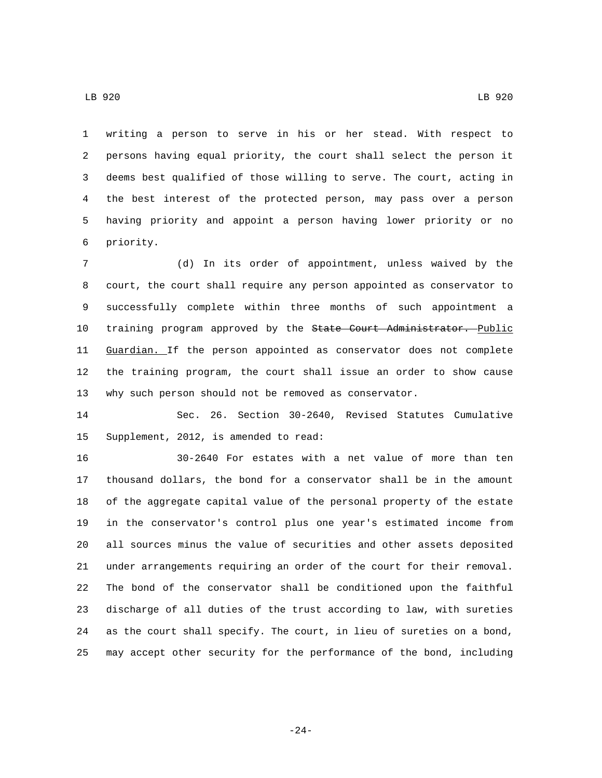writing a person to serve in his or her stead. With respect to persons having equal priority, the court shall select the person it deems best qualified of those willing to serve. The court, acting in the best interest of the protected person, may pass over a person having priority and appoint a person having lower priority or no 6 priority.

 (d) In its order of appointment, unless waived by the court, the court shall require any person appointed as conservator to successfully complete within three months of such appointment a 10 training program approved by the State Court Administrator. Public 11 Guardian. If the person appointed as conservator does not complete the training program, the court shall issue an order to show cause why such person should not be removed as conservator.

 Sec. 26. Section 30-2640, Revised Statutes Cumulative 15 Supplement, 2012, is amended to read:

 30-2640 For estates with a net value of more than ten thousand dollars, the bond for a conservator shall be in the amount of the aggregate capital value of the personal property of the estate in the conservator's control plus one year's estimated income from all sources minus the value of securities and other assets deposited under arrangements requiring an order of the court for their removal. The bond of the conservator shall be conditioned upon the faithful discharge of all duties of the trust according to law, with sureties as the court shall specify. The court, in lieu of sureties on a bond, may accept other security for the performance of the bond, including

-24-